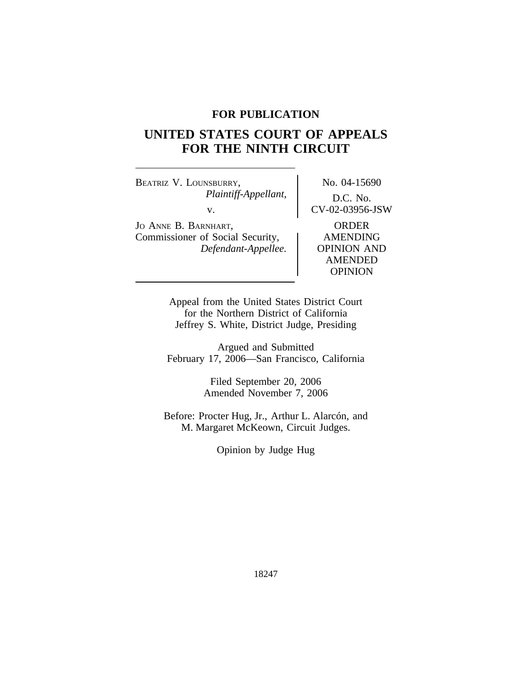## **FOR PUBLICATION**

# **UNITED STATES COURT OF APPEALS FOR THE NINTH CIRCUIT**

BEATRIZ V. LOUNSBURRY, No. 04-15690 *Plaintiff-Appellant,* D.C. No. v. CV-02-03956-JSW

JO ANNE B. BARNHART,<br>
Commissioner of Social Security, AMENDING Commissioner of Social Security, *Defendant-Appellee.* OPINION AND

AMENDED OPINION

Appeal from the United States District Court for the Northern District of California Jeffrey S. White, District Judge, Presiding

Argued and Submitted February 17, 2006—San Francisco, California

> Filed September 20, 2006 Amended November 7, 2006

Before: Procter Hug, Jr., Arthur L. Alarcón, and M. Margaret McKeown, Circuit Judges.

Opinion by Judge Hug

18247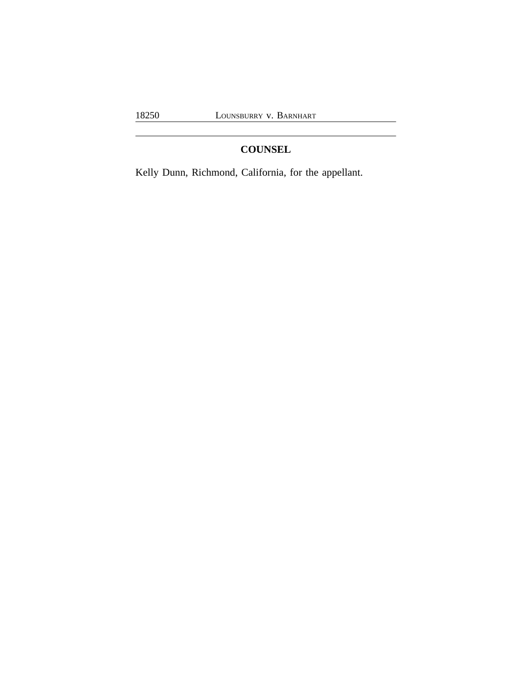## **COUNSEL**

Kelly Dunn, Richmond, California, for the appellant.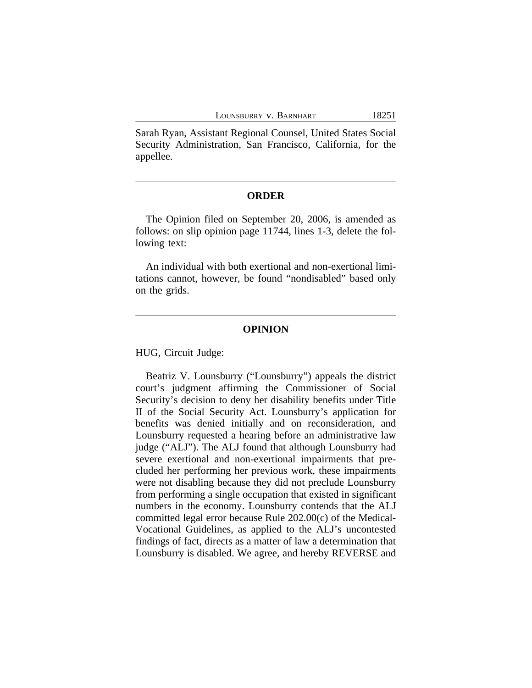Sarah Ryan, Assistant Regional Counsel, United States Social Security Administration, San Francisco, California, for the appellee.

## **ORDER**

The Opinion filed on September 20, 2006, is amended as follows: on slip opinion page 11744, lines 1-3, delete the following text:

An individual with both exertional and non-exertional limitations cannot, however, be found "nondisabled" based only on the grids.

## **OPINION**

HUG, Circuit Judge:

Beatriz V. Lounsburry ("Lounsburry") appeals the district court's judgment affirming the Commissioner of Social Security's decision to deny her disability benefits under Title II of the Social Security Act. Lounsburry's application for benefits was denied initially and on reconsideration, and Lounsburry requested a hearing before an administrative law judge ("ALJ"). The ALJ found that although Lounsburry had severe exertional and non-exertional impairments that precluded her performing her previous work, these impairments were not disabling because they did not preclude Lounsburry from performing a single occupation that existed in significant numbers in the economy. Lounsburry contends that the ALJ committed legal error because Rule 202.00(c) of the Medical-Vocational Guidelines, as applied to the ALJ's uncontested findings of fact, directs as a matter of law a determination that Lounsburry is disabled. We agree, and hereby REVERSE and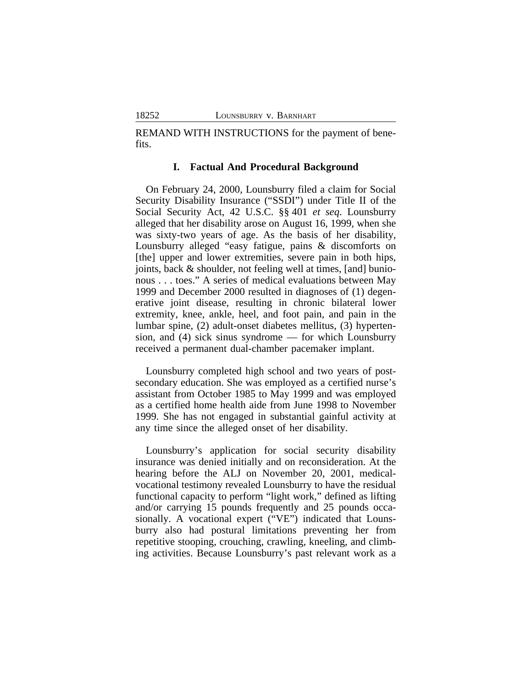REMAND WITH INSTRUCTIONS for the payment of benefits.

### **I. Factual And Procedural Background**

On February 24, 2000, Lounsburry filed a claim for Social Security Disability Insurance ("SSDI") under Title II of the Social Security Act, 42 U.S.C. §§ 401 *et seq*. Lounsburry alleged that her disability arose on August 16, 1999, when she was sixty-two years of age. As the basis of her disability, Lounsburry alleged "easy fatigue, pains & discomforts on [the] upper and lower extremities, severe pain in both hips, joints, back & shoulder, not feeling well at times, [and] bunionous . . . toes." A series of medical evaluations between May 1999 and December 2000 resulted in diagnoses of (1) degenerative joint disease, resulting in chronic bilateral lower extremity, knee, ankle, heel, and foot pain, and pain in the lumbar spine, (2) adult-onset diabetes mellitus, (3) hypertension, and (4) sick sinus syndrome — for which Lounsburry received a permanent dual-chamber pacemaker implant.

Lounsburry completed high school and two years of postsecondary education. She was employed as a certified nurse's assistant from October 1985 to May 1999 and was employed as a certified home health aide from June 1998 to November 1999. She has not engaged in substantial gainful activity at any time since the alleged onset of her disability.

Lounsburry's application for social security disability insurance was denied initially and on reconsideration. At the hearing before the ALJ on November 20, 2001, medicalvocational testimony revealed Lounsburry to have the residual functional capacity to perform "light work," defined as lifting and/or carrying 15 pounds frequently and 25 pounds occasionally. A vocational expert ("VE") indicated that Lounsburry also had postural limitations preventing her from repetitive stooping, crouching, crawling, kneeling, and climbing activities. Because Lounsburry's past relevant work as a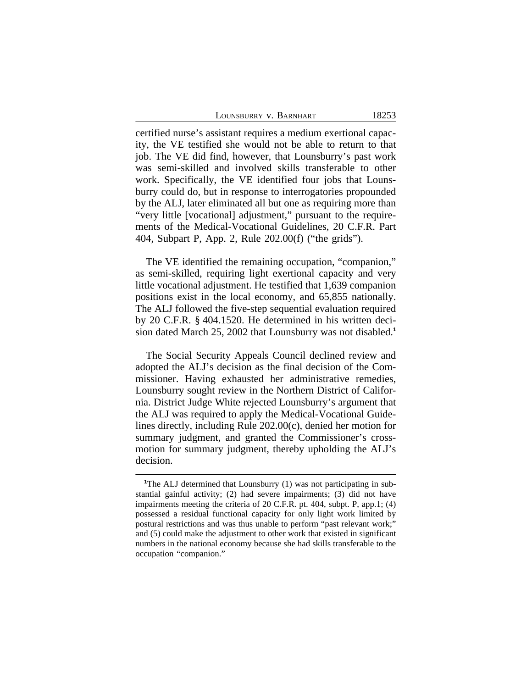LOUNSBURRY V. BARNHART 18253

certified nurse's assistant requires a medium exertional capacity, the VE testified she would not be able to return to that job. The VE did find, however, that Lounsburry's past work was semi-skilled and involved skills transferable to other work. Specifically, the VE identified four jobs that Lounsburry could do, but in response to interrogatories propounded by the ALJ, later eliminated all but one as requiring more than "very little [vocational] adjustment," pursuant to the requirements of the Medical-Vocational Guidelines, 20 C.F.R. Part 404, Subpart P, App. 2, Rule 202.00(f) ("the grids").

The VE identified the remaining occupation, "companion," as semi-skilled, requiring light exertional capacity and very little vocational adjustment. He testified that 1,639 companion positions exist in the local economy, and 65,855 nationally. The ALJ followed the five-step sequential evaluation required by 20 C.F.R. § 404.1520. He determined in his written decision dated March 25, 2002 that Lounsburry was not disabled.**<sup>1</sup>**

The Social Security Appeals Council declined review and adopted the ALJ's decision as the final decision of the Commissioner. Having exhausted her administrative remedies, Lounsburry sought review in the Northern District of California. District Judge White rejected Lounsburry's argument that the ALJ was required to apply the Medical-Vocational Guidelines directly, including Rule 202.00(c), denied her motion for summary judgment, and granted the Commissioner's crossmotion for summary judgment, thereby upholding the ALJ's decision.

**<sup>1</sup>**The ALJ determined that Lounsburry (1) was not participating in substantial gainful activity; (2) had severe impairments; (3) did not have impairments meeting the criteria of 20 C.F.R. pt. 404, subpt. P, app.1; (4) possessed a residual functional capacity for only light work limited by postural restrictions and was thus unable to perform "past relevant work;" and (5) could make the adjustment to other work that existed in significant numbers in the national economy because she had skills transferable to the occupation "companion."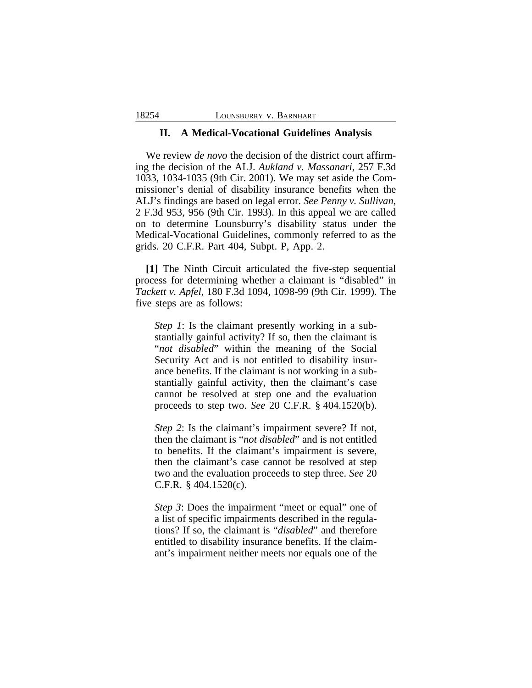#### **II. A Medical-Vocational Guidelines Analysis**

We review *de novo* the decision of the district court affirming the decision of the ALJ. *Aukland v. Massanari*, 257 F.3d 1033, 1034-1035 (9th Cir. 2001). We may set aside the Commissioner's denial of disability insurance benefits when the ALJ's findings are based on legal error. *See Penny v. Sullivan*, 2 F.3d 953, 956 (9th Cir. 1993). In this appeal we are called on to determine Lounsburry's disability status under the Medical-Vocational Guidelines, commonly referred to as the grids. 20 C.F.R. Part 404, Subpt. P, App. 2.

**[1]** The Ninth Circuit articulated the five-step sequential process for determining whether a claimant is "disabled" in *Tackett v. Apfel*, 180 F.3d 1094, 1098-99 (9th Cir. 1999). The five steps are as follows:

*Step 1*: Is the claimant presently working in a substantially gainful activity? If so, then the claimant is "*not disabled*" within the meaning of the Social Security Act and is not entitled to disability insurance benefits. If the claimant is not working in a substantially gainful activity, then the claimant's case cannot be resolved at step one and the evaluation proceeds to step two. *See* 20 C.F.R. § 404.1520(b).

*Step 2*: Is the claimant's impairment severe? If not, then the claimant is "*not disabled*" and is not entitled to benefits. If the claimant's impairment is severe, then the claimant's case cannot be resolved at step two and the evaluation proceeds to step three. *See* 20 C.F.R. § 404.1520(c).

*Step 3*: Does the impairment "meet or equal" one of a list of specific impairments described in the regulations? If so, the claimant is "*disabled*" and therefore entitled to disability insurance benefits. If the claimant's impairment neither meets nor equals one of the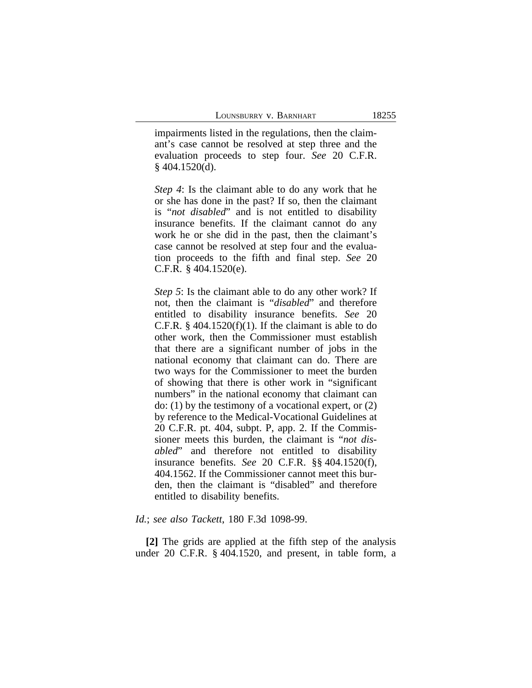impairments listed in the regulations, then the claimant's case cannot be resolved at step three and the evaluation proceeds to step four. *See* 20 C.F.R.  $§$  404.1520(d).

*Step 4*: Is the claimant able to do any work that he or she has done in the past? If so, then the claimant is "*not disabled*" and is not entitled to disability insurance benefits. If the claimant cannot do any work he or she did in the past, then the claimant's case cannot be resolved at step four and the evaluation proceeds to the fifth and final step. *See* 20 C.F.R. § 404.1520(e).

*Step 5*: Is the claimant able to do any other work? If not, then the claimant is "*disabled*" and therefore entitled to disability insurance benefits. *See* 20 C.F.R.  $\S$  404.1520(f)(1). If the claimant is able to do other work, then the Commissioner must establish that there are a significant number of jobs in the national economy that claimant can do. There are two ways for the Commissioner to meet the burden of showing that there is other work in "significant numbers" in the national economy that claimant can do: (1) by the testimony of a vocational expert, or (2) by reference to the Medical-Vocational Guidelines at 20 C.F.R. pt. 404, subpt. P, app. 2. If the Commissioner meets this burden, the claimant is "*not disabled*" and therefore not entitled to disability insurance benefits. *See* 20 C.F.R. §§ 404.1520(f), 404.1562. If the Commissioner cannot meet this burden, then the claimant is "disabled" and therefore entitled to disability benefits.

#### *Id.*; *see also Tackett*, 180 F.3d 1098-99.

**[2]** The grids are applied at the fifth step of the analysis under 20 C.F.R. § 404.1520, and present, in table form, a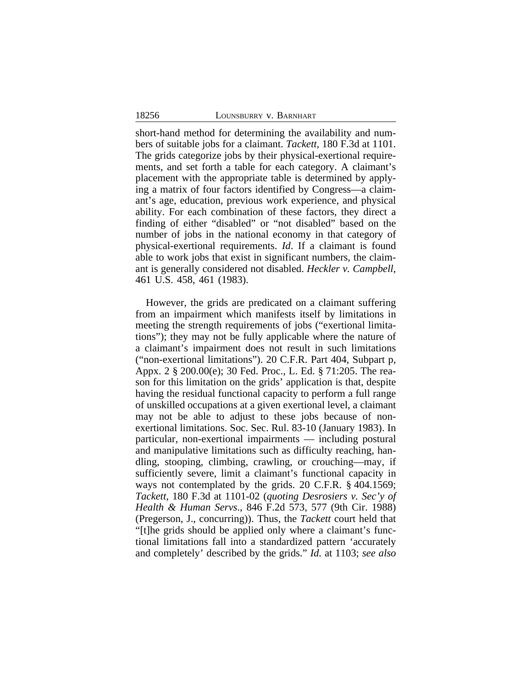short-hand method for determining the availability and numbers of suitable jobs for a claimant. *Tackett,* 180 F.3d at 1101. The grids categorize jobs by their physical-exertional requirements, and set forth a table for each category. A claimant's placement with the appropriate table is determined by applying a matrix of four factors identified by Congress—a claimant's age, education, previous work experience, and physical ability. For each combination of these factors, they direct a finding of either "disabled" or "not disabled" based on the number of jobs in the national economy in that category of physical-exertional requirements. *Id*. If a claimant is found able to work jobs that exist in significant numbers, the claimant is generally considered not disabled. *Heckler v. Campbell*, 461 U.S. 458, 461 (1983).

However, the grids are predicated on a claimant suffering from an impairment which manifests itself by limitations in meeting the strength requirements of jobs ("exertional limitations"); they may not be fully applicable where the nature of a claimant's impairment does not result in such limitations ("non-exertional limitations"). 20 C.F.R. Part 404, Subpart p, Appx. 2 § 200.00(e); 30 Fed. Proc., L. Ed. § 71:205. The reason for this limitation on the grids' application is that, despite having the residual functional capacity to perform a full range of unskilled occupations at a given exertional level, a claimant may not be able to adjust to these jobs because of nonexertional limitations. Soc. Sec. Rul. 83-10 (January 1983). In particular, non-exertional impairments — including postural and manipulative limitations such as difficulty reaching, handling, stooping, climbing, crawling, or crouching—may, if sufficiently severe, limit a claimant's functional capacity in ways not contemplated by the grids. 20 C.F.R. § 404.1569; *Tackett*, 180 F.3d at 1101-02 (*quoting Desrosiers v. Sec'y of Health & Human Servs*., 846 F.2d 573, 577 (9th Cir. 1988) (Pregerson, J., concurring)). Thus, the *Tackett* court held that "[t]he grids should be applied only where a claimant's functional limitations fall into a standardized pattern 'accurately and completely' described by the grids." *Id.* at 1103; *see also*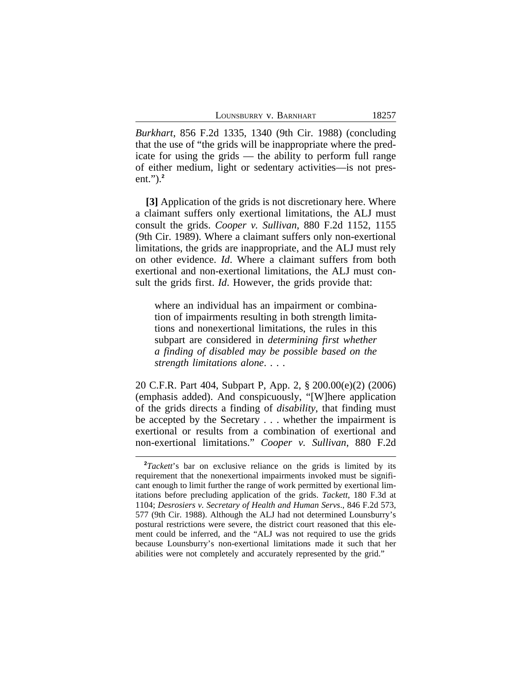*Burkhart*, 856 F.2d 1335, 1340 (9th Cir. 1988) (concluding that the use of "the grids will be inappropriate where the predicate for using the grids — the ability to perform full range of either medium, light or sedentary activities—is not present.").**<sup>2</sup>**

**[3]** Application of the grids is not discretionary here. Where a claimant suffers only exertional limitations, the ALJ must consult the grids. *Cooper v. Sullivan*, 880 F.2d 1152, 1155 (9th Cir. 1989). Where a claimant suffers only non-exertional limitations, the grids are inappropriate, and the ALJ must rely on other evidence. *Id*. Where a claimant suffers from both exertional and non-exertional limitations, the ALJ must consult the grids first. *Id*. However, the grids provide that:

where an individual has an impairment or combination of impairments resulting in both strength limitations and nonexertional limitations, the rules in this subpart are considered in *determining first whether a finding of disabled may be possible based on the strength limitations alone*. . . .

20 C.F.R. Part 404, Subpart P, App. 2, § 200.00(e)(2) (2006) (emphasis added). And conspicuously, "[W]here application of the grids directs a finding of *disability*, that finding must be accepted by the Secretary . . . whether the impairment is exertional or results from a combination of exertional and non-exertional limitations." *Cooper v. Sullivan*, 880 F.2d

**<sup>2</sup>***Tackett*'s bar on exclusive reliance on the grids is limited by its requirement that the nonexertional impairments invoked must be significant enough to limit further the range of work permitted by exertional limitations before precluding application of the grids. *Tackett*, 180 F.3d at 1104; *Desrosiers v. Secretary of Health and Human Servs*., 846 F.2d 573, 577 (9th Cir. 1988). Although the ALJ had not determined Lounsburry's postural restrictions were severe, the district court reasoned that this element could be inferred, and the "ALJ was not required to use the grids because Lounsburry's non-exertional limitations made it such that her abilities were not completely and accurately represented by the grid."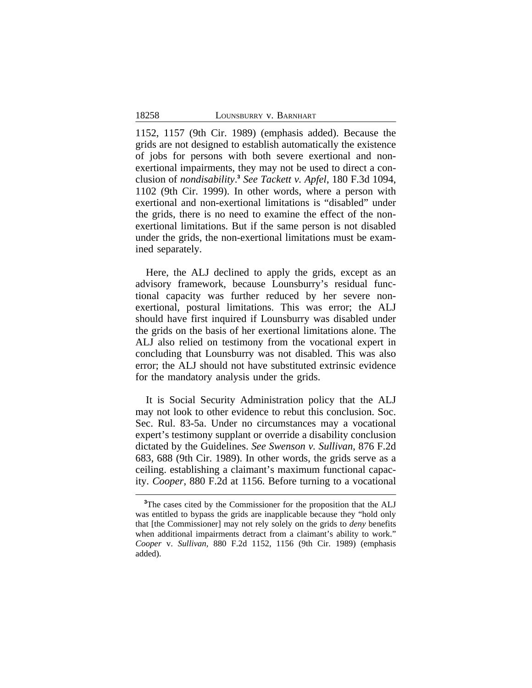1152, 1157 (9th Cir. 1989) (emphasis added). Because the grids are not designed to establish automatically the existence of jobs for persons with both severe exertional and nonexertional impairments, they may not be used to direct a conclusion of *nondisability*. **3** *See Tackett v. Apfel*, 180 F.3d 1094, 1102 (9th Cir. 1999). In other words, where a person with exertional and non-exertional limitations is "disabled" under the grids, there is no need to examine the effect of the nonexertional limitations. But if the same person is not disabled under the grids, the non-exertional limitations must be examined separately.

Here, the ALJ declined to apply the grids, except as an advisory framework, because Lounsburry's residual functional capacity was further reduced by her severe nonexertional, postural limitations. This was error; the ALJ should have first inquired if Lounsburry was disabled under the grids on the basis of her exertional limitations alone. The ALJ also relied on testimony from the vocational expert in concluding that Lounsburry was not disabled. This was also error; the ALJ should not have substituted extrinsic evidence for the mandatory analysis under the grids.

It is Social Security Administration policy that the ALJ may not look to other evidence to rebut this conclusion. Soc. Sec. Rul. 83-5a. Under no circumstances may a vocational expert's testimony supplant or override a disability conclusion dictated by the Guidelines. *See Swenson v. Sullivan*, 876 F.2d 683, 688 (9th Cir. 1989). In other words, the grids serve as a ceiling. establishing a claimant's maximum functional capacity. *Cooper*, 880 F.2d at 1156. Before turning to a vocational

**<sup>3</sup>**The cases cited by the Commissioner for the proposition that the ALJ was entitled to bypass the grids are inapplicable because they "hold only that [the Commissioner] may not rely solely on the grids to *deny* benefits when additional impairments detract from a claimant's ability to work." *Cooper* v. *Sullivan,* 880 F.2d 1152, 1156 (9th Cir. 1989) (emphasis added).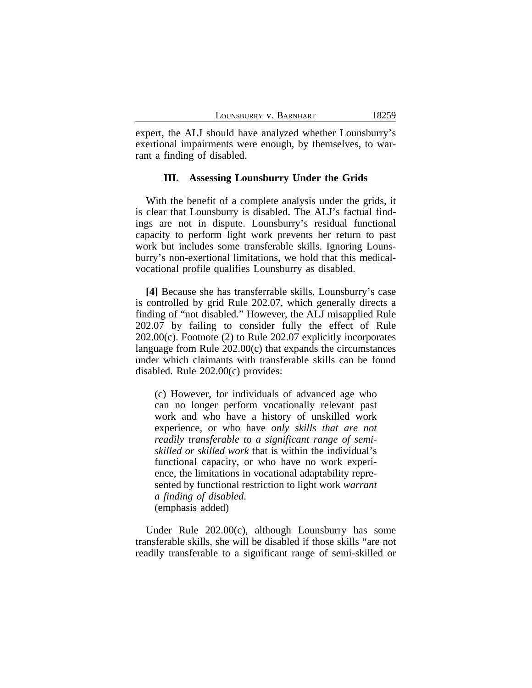expert, the ALJ should have analyzed whether Lounsburry's exertional impairments were enough, by themselves, to warrant a finding of disabled.

#### **III. Assessing Lounsburry Under the Grids**

With the benefit of a complete analysis under the grids, it is clear that Lounsburry is disabled. The ALJ's factual findings are not in dispute. Lounsburry's residual functional capacity to perform light work prevents her return to past work but includes some transferable skills. Ignoring Lounsburry's non-exertional limitations, we hold that this medicalvocational profile qualifies Lounsburry as disabled.

**[4]** Because she has transferrable skills, Lounsburry's case is controlled by grid Rule 202.07, which generally directs a finding of "not disabled." However, the ALJ misapplied Rule 202.07 by failing to consider fully the effect of Rule 202.00(c). Footnote (2) to Rule 202.07 explicitly incorporates language from Rule 202.00(c) that expands the circumstances under which claimants with transferable skills can be found disabled. Rule 202.00(c) provides:

(c) However, for individuals of advanced age who can no longer perform vocationally relevant past work and who have a history of unskilled work experience, or who have *only skills that are not readily transferable to a significant range of semiskilled or skilled work* that is within the individual's functional capacity, or who have no work experience, the limitations in vocational adaptability represented by functional restriction to light work *warrant a finding of disabled*. (emphasis added)

Under Rule 202.00(c), although Lounsburry has some transferable skills, she will be disabled if those skills "are not readily transferable to a significant range of semi-skilled or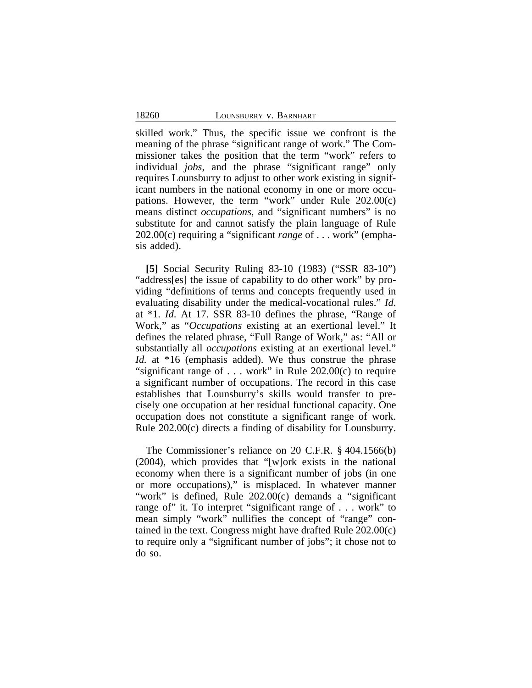skilled work." Thus, the specific issue we confront is the meaning of the phrase "significant range of work." The Commissioner takes the position that the term "work" refers to individual *jobs*, and the phrase "significant range" only requires Lounsburry to adjust to other work existing in significant numbers in the national economy in one or more occupations. However, the term "work" under Rule 202.00(c) means distinct *occupations*, and "significant numbers" is no substitute for and cannot satisfy the plain language of Rule 202.00(c) requiring a "significant *range* of . . . work" (emphasis added).

**[5]** Social Security Ruling 83-10 (1983) ("SSR 83-10") "address[es] the issue of capability to do other work" by providing "definitions of terms and concepts frequently used in evaluating disability under the medical-vocational rules." *Id*. at \*1. *Id*. At 17. SSR 83-10 defines the phrase, "Range of Work," as "*Occupations* existing at an exertional level." It defines the related phrase, "Full Range of Work," as: "All or substantially all *occupations* existing at an exertional level." *Id.* at \*16 (emphasis added). We thus construe the phrase "significant range of . . . work" in Rule 202.00(c) to require a significant number of occupations. The record in this case establishes that Lounsburry's skills would transfer to precisely one occupation at her residual functional capacity. One occupation does not constitute a significant range of work. Rule 202.00(c) directs a finding of disability for Lounsburry.

The Commissioner's reliance on 20 C.F.R. § 404.1566(b) (2004), which provides that "[w]ork exists in the national economy when there is a significant number of jobs (in one or more occupations)," is misplaced. In whatever manner "work" is defined, Rule 202.00(c) demands a "significant range of" it. To interpret "significant range of . . . work" to mean simply "work" nullifies the concept of "range" contained in the text. Congress might have drafted Rule 202.00(c) to require only a "significant number of jobs"; it chose not to do so.